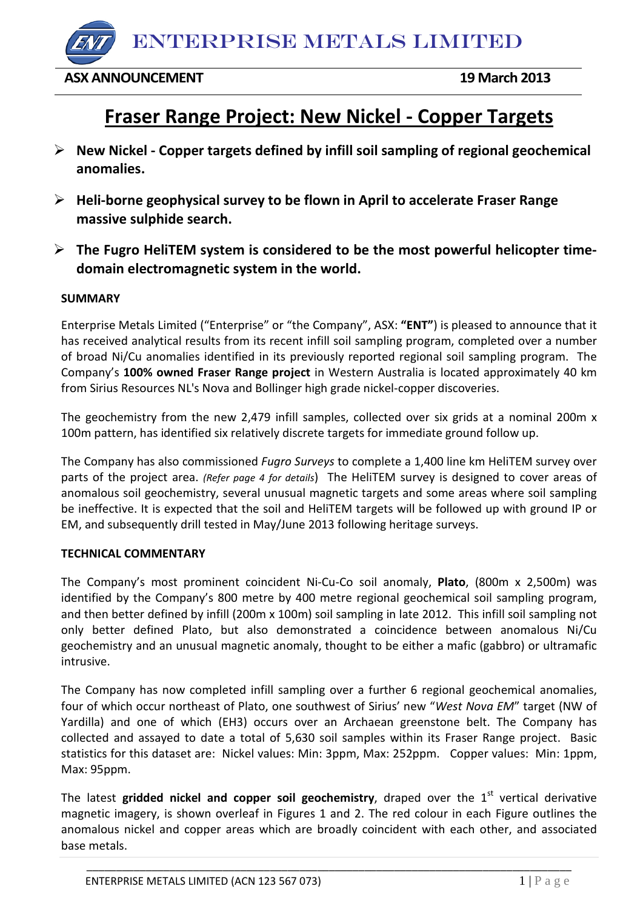ENTERPRISE METALS LIMITED

## **ASX ANNOUNCEMENT 19 March 2013**

# **Fraser Range Project: New Nickel - Copper Targets**

- **New Nickel - Copper targets defined by infill soil sampling of regional geochemical anomalies.**
- **Heli-borne geophysical survey to be flown in April to accelerate Fraser Range massive sulphide search.**
- **The Fugro HeliTEM system is considered to be the most powerful helicopter timedomain electromagnetic system in the world.**

## **SUMMARY**

Enterprise Metals Limited ("Enterprise" or "the Company", ASX: **"ENT"**) is pleased to announce that it has received analytical results from its recent infill soil sampling program, completed over a number of broad Ni/Cu anomalies identified in its previously reported regional soil sampling program. The Company's **100% owned Fraser Range project** in Western Australia is located approximately 40 km from Sirius Resources NL's Nova and Bollinger high grade nickel-copper discoveries.

The geochemistry from the new 2,479 infill samples, collected over six grids at a nominal 200m x 100m pattern, has identified six relatively discrete targets for immediate ground follow up.

The Company has also commissioned *Fugro Surveys* to complete a 1,400 line km HeliTEM survey over parts of the project area. *(Refer page 4 for details*) The HeliTEM survey is designed to cover areas of anomalous soil geochemistry, several unusual magnetic targets and some areas where soil sampling be ineffective. It is expected that the soil and HeliTEM targets will be followed up with ground IP or EM, and subsequently drill tested in May/June 2013 following heritage surveys.

#### **TECHNICAL COMMENTARY**

The Company's most prominent coincident Ni-Cu-Co soil anomaly, **Plato**, (800m x 2,500m) was identified by the Company's 800 metre by 400 metre regional geochemical soil sampling program, and then better defined by infill (200m x 100m) soil sampling in late 2012. This infill soil sampling not only better defined Plato, but also demonstrated a coincidence between anomalous Ni/Cu geochemistry and an unusual magnetic anomaly, thought to be either a mafic (gabbro) or ultramafic intrusive.

The Company has now completed infill sampling over a further 6 regional geochemical anomalies, four of which occur northeast of Plato, one southwest of Sirius' new "*West Nova EM*" target (NW of Yardilla) and one of which (EH3) occurs over an Archaean greenstone belt. The Company has collected and assayed to date a total of 5,630 soil samples within its Fraser Range project. Basic statistics for this dataset are: Nickel values: Min: 3ppm, Max: 252ppm. Copper values: Min: 1ppm, Max: 95ppm.

The latest gridded nickel and copper soil geochemistry, draped over the  $1<sup>st</sup>$  vertical derivative magnetic imagery, is shown overleaf in Figures 1 and 2. The red colour in each Figure outlines the anomalous nickel and copper areas which are broadly coincident with each other, and associated base metals.

\_\_\_\_\_\_\_\_\_\_\_\_\_\_\_\_\_\_\_\_\_\_\_\_\_\_\_\_\_\_\_\_\_\_\_\_\_\_\_\_\_\_\_\_\_\_\_\_\_\_\_\_\_\_\_\_\_\_\_\_\_\_\_\_\_\_\_\_\_\_\_\_\_\_\_\_\_\_\_\_\_\_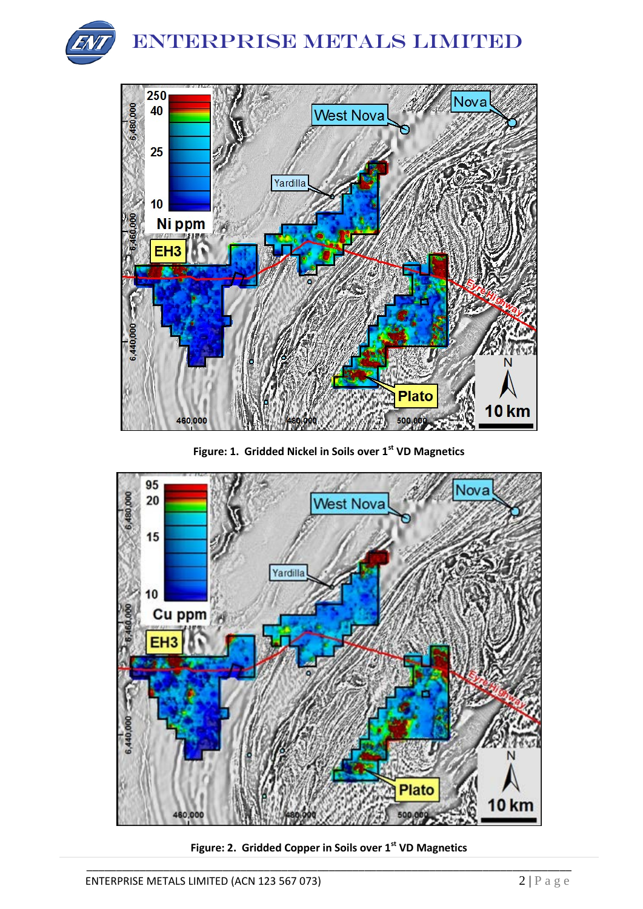



**Figure: 1. Gridded Nickel in Soils over 1st VD Magnetics**



\_\_\_\_\_\_\_\_\_\_\_\_\_\_\_\_\_\_\_\_\_\_\_\_\_\_\_\_\_\_\_\_\_\_\_\_\_\_\_\_\_\_\_\_\_\_\_\_\_\_\_\_\_\_\_\_\_\_\_\_\_\_\_\_\_\_\_\_\_\_\_\_\_\_\_\_\_\_\_\_\_\_ **Figure: 2. Gridded Copper in Soils over 1st VD Magnetics**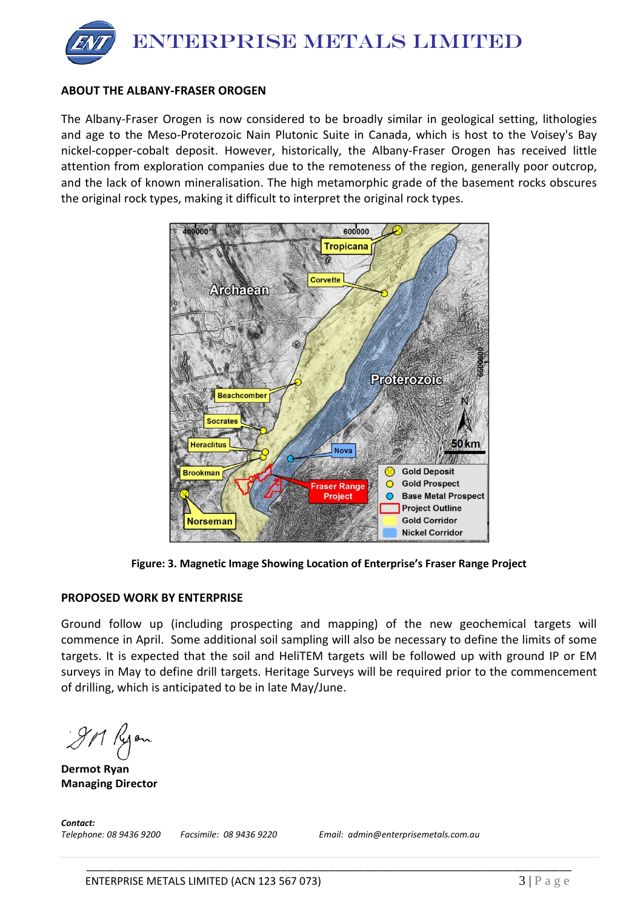

## **ABOUT THE ALBANY-FRASER OROGEN**

The Albany-Fraser Orogen is now considered to be broadly similar in geological setting, lithologies and age to the Meso-Proterozoic Nain Plutonic Suite in Canada, which is host to the Voisey's Bay nickel-copper-cobalt deposit. However, historically, the Albany-Fraser Orogen has received little attention from exploration companies due to the remoteness of the region, generally poor outcrop, and the lack of known mineralisation. The high metamorphic grade of the basement rocks obscures the original rock types, making it difficult to interpret the original rock types.



**Figure: 3. Magnetic Image Showing Location of Enterprise's Fraser Range Project**

#### **PROPOSED WORK BY ENTERPRISE**

Ground follow up (including prospecting and mapping) of the new geochemical targets will commence in April. Some additional soil sampling will also be necessary to define the limits of some targets. It is expected that the soil and HeliTEM targets will be followed up with ground IP or EM surveys in May to define drill targets. Heritage Surveys will be required prior to the commencement of drilling, which is anticipated to be in late May/June.

\_\_\_\_\_\_\_\_\_\_\_\_\_\_\_\_\_\_\_\_\_\_\_\_\_\_\_\_\_\_\_\_\_\_\_\_\_\_\_\_\_\_\_\_\_\_\_\_\_\_\_\_\_\_\_\_\_\_\_\_\_\_\_\_\_\_\_\_\_\_\_\_\_\_\_\_\_\_\_\_\_\_

JM Kyon

**Dermot Ryan Managing Director**

*Contact: Telephone: 08 9436 9200 Facsimile: 08 9436 9220 Email: admin@enterprisemetals.com.au*